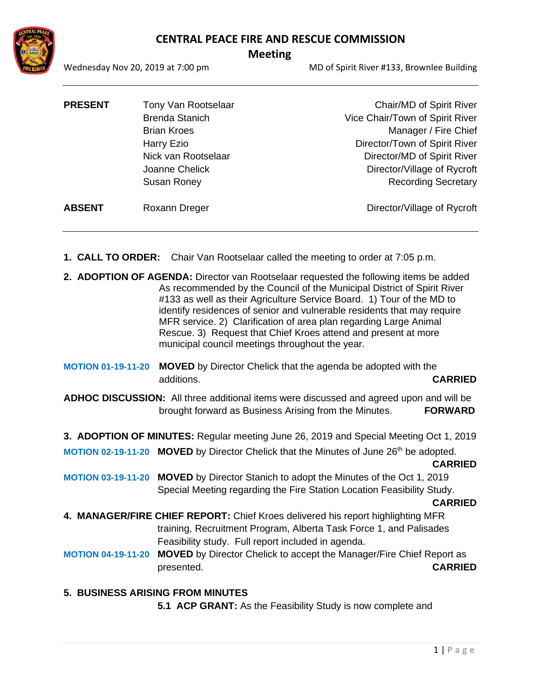### **CENTRAL PEACE FIRE AND RESCUE COMMISSION**



# **Meeting**

Wednesday Nov 20, 2019 at 7:00 pm MD of Spirit River #133, Brownlee Building

| <b>PRESENT</b> | Tony Van Rootselaar   | Chair/MD of Spirit River        |
|----------------|-----------------------|---------------------------------|
|                | <b>Brenda Stanich</b> | Vice Chair/Town of Spirit River |
|                | <b>Brian Kroes</b>    | Manager / Fire Chief            |
|                | Harry Ezio            | Director/Town of Spirit River   |
|                | Nick van Rootselaar   | Director/MD of Spirit River     |
|                | Joanne Chelick        | Director/Village of Rycroft     |
|                | Susan Roney           | <b>Recording Secretary</b>      |
| <b>ABSENT</b>  | Roxann Dreger         | Director/Village of Rycroft     |
|                |                       |                                 |

- **1. CALL TO ORDER:** Chair Van Rootselaar called the meeting to order at 7:05 p.m.
- **2. ADOPTION OF AGENDA:** Director van Rootselaar requested the following items be added As recommended by the Council of the Municipal District of Spirit River #133 as well as their Agriculture Service Board. 1) Tour of the MD to identify residences of senior and vulnerable residents that may require MFR service. 2) Clarification of area plan regarding Large Animal Rescue. 3) Request that Chief Kroes attend and present at more municipal council meetings throughout the year.
- **MOTION 01-19-11-20 MOVED** by Director Chelick that the agenda be adopted with the additions. **CARRIED**
- **ADHOC DISCUSSION:** All three additional items were discussed and agreed upon and will be brought forward as Business Arising from the Minutes. **FORWARD**
- **3. ADOPTION OF MINUTES:** Regular meeting June 26, 2019 and Special Meeting Oct 1, 2019
- **MOTION 02-19-11-20 MOVED** by Director Chelick that the Minutes of June 26<sup>th</sup> be adopted. **CARRIED**
- **MOTION 03-19-11-20 MOVED** by Director Stanich to adopt the Minutes of the Oct 1, 2019 Special Meeting regarding the Fire Station Location Feasibility Study.

#### **CARRIED**

- **4. MANAGER/FIRE CHIEF REPORT:** Chief Kroes delivered his report highlighting MFR training, Recruitment Program, Alberta Task Force 1, and Palisades Feasibility study. Full report included in agenda.
- **MOTION 04-19-11-20 MOVED** by Director Chelick to accept the Manager/Fire Chief Report as presented. **CARRIED**
- **5. BUSINESS ARISING FROM MINUTES 5.1 ACP GRANT:** As the Feasibility Study is now complete and